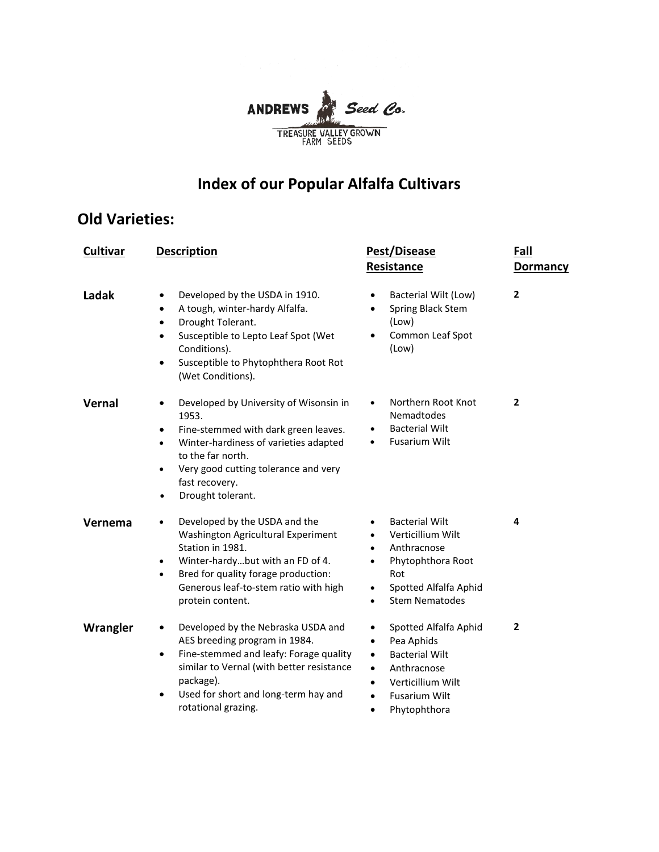

# **Index of our Popular Alfalfa Cultivars**

## **Old Varieties:**

| <b>Cultivar</b> | <b>Description</b>                                                                                                                                                                                                                                                                       | Pest/Disease<br>Resistance                                                                                                                                                                                                  | Fall<br><b>Dormancy</b> |
|-----------------|------------------------------------------------------------------------------------------------------------------------------------------------------------------------------------------------------------------------------------------------------------------------------------------|-----------------------------------------------------------------------------------------------------------------------------------------------------------------------------------------------------------------------------|-------------------------|
| Ladak           | Developed by the USDA in 1910.<br>$\bullet$<br>A tough, winter-hardy Alfalfa.<br>$\bullet$<br>Drought Tolerant.<br>$\bullet$<br>Susceptible to Lepto Leaf Spot (Wet<br>٠<br>Conditions).<br>Susceptible to Phytophthera Root Rot<br>٠<br>(Wet Conditions).                               | Bacterial Wilt (Low)<br>$\bullet$<br>Spring Black Stem<br>(Low)<br>Common Leaf Spot<br>(Low)                                                                                                                                | $\overline{2}$          |
| <b>Vernal</b>   | Developed by University of Wisonsin in<br>$\bullet$<br>1953.<br>Fine-stemmed with dark green leaves.<br>$\bullet$<br>Winter-hardiness of varieties adapted<br>$\bullet$<br>to the far north.<br>Very good cutting tolerance and very<br>fast recovery.<br>Drought tolerant.<br>$\bullet$ | Northern Root Knot<br>$\bullet$<br>Nemadtodes<br><b>Bacterial Wilt</b><br>$\bullet$<br><b>Fusarium Wilt</b><br>$\bullet$                                                                                                    | $\overline{2}$          |
| Vernema         | Developed by the USDA and the<br>$\bullet$<br>Washington Agricultural Experiment<br>Station in 1981.<br>Winter-hardybut with an FD of 4.<br>$\bullet$<br>Bred for quality forage production:<br>$\bullet$<br>Generous leaf-to-stem ratio with high<br>protein content.                   | <b>Bacterial Wilt</b><br>Verticillium Wilt<br>Anthracnose<br>Phytophthora Root<br>$\bullet$<br>Rot<br>Spotted Alfalfa Aphid<br>$\bullet$<br><b>Stem Nematodes</b><br>$\bullet$                                              | 4                       |
| Wrangler        | Developed by the Nebraska USDA and<br>AES breeding program in 1984.<br>Fine-stemmed and leafy: Forage quality<br>٠<br>similar to Vernal (with better resistance<br>package).<br>Used for short and long-term hay and<br>٠<br>rotational grazing.                                         | Spotted Alfalfa Aphid<br>٠<br>Pea Aphids<br>$\bullet$<br><b>Bacterial Wilt</b><br>$\bullet$<br>Anthracnose<br>$\bullet$<br>Verticillium Wilt<br>$\bullet$<br><b>Fusarium Wilt</b><br>$\bullet$<br>Phytophthora<br>$\bullet$ | 2                       |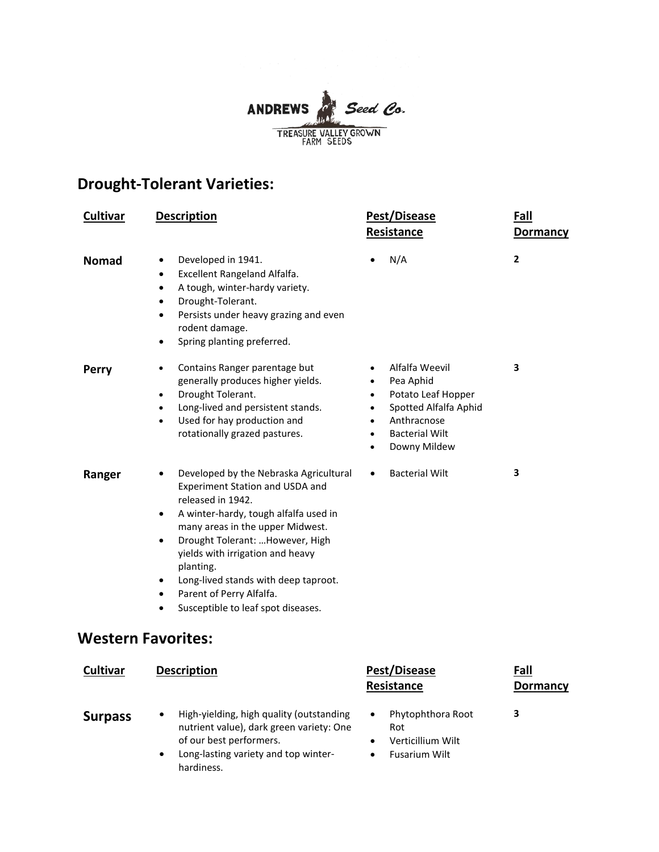

## **Drought-Tolerant Varieties:**

| <b>Cultivar</b> | <b>Description</b>                                                                                                                                                                                                                                                                                                                                                                                                             | Pest/Disease<br>Resistance                                                                                                                      | Fall<br><b>Dormancy</b> |
|-----------------|--------------------------------------------------------------------------------------------------------------------------------------------------------------------------------------------------------------------------------------------------------------------------------------------------------------------------------------------------------------------------------------------------------------------------------|-------------------------------------------------------------------------------------------------------------------------------------------------|-------------------------|
| <b>Nomad</b>    | Developed in 1941.<br>$\bullet$<br>Excellent Rangeland Alfalfa.<br>$\bullet$<br>A tough, winter-hardy variety.<br>$\bullet$<br>Drought-Tolerant.<br>$\bullet$<br>Persists under heavy grazing and even<br>$\bullet$<br>rodent damage.<br>Spring planting preferred.<br>$\bullet$                                                                                                                                               | N/A                                                                                                                                             | 2                       |
| Perry           | Contains Ranger parentage but<br>$\bullet$<br>generally produces higher yields.<br>Drought Tolerant.<br>$\bullet$<br>Long-lived and persistent stands.<br>$\bullet$<br>Used for hay production and<br>$\bullet$<br>rotationally grazed pastures.                                                                                                                                                                               | Alfalfa Weevil<br>Pea Aphid<br>Potato Leaf Hopper<br>Spotted Alfalfa Aphid<br>$\bullet$<br>Anthracnose<br><b>Bacterial Wilt</b><br>Downy Mildew | 3                       |
| Ranger          | Developed by the Nebraska Agricultural<br>$\bullet$<br>Experiment Station and USDA and<br>released in 1942.<br>A winter-hardy, tough alfalfa used in<br>$\bullet$<br>many areas in the upper Midwest.<br>Drought Tolerant:  However, High<br>$\bullet$<br>yields with irrigation and heavy<br>planting.<br>Long-lived stands with deep taproot.<br>Parent of Perry Alfalfa.<br>$\bullet$<br>Susceptible to leaf spot diseases. | <b>Bacterial Wilt</b><br>$\bullet$                                                                                                              | 3                       |
|                 | <b>Western Favorites:</b>                                                                                                                                                                                                                                                                                                                                                                                                      |                                                                                                                                                 |                         |
| Cultivar        | <b>Description</b>                                                                                                                                                                                                                                                                                                                                                                                                             | Pest/Disease<br>Resistance                                                                                                                      | Fall<br><b>Dormancy</b> |
| <b>Surpass</b>  | High-yielding, high quality (outstanding<br>nutrient value), dark green variety: One<br>of our best performers.                                                                                                                                                                                                                                                                                                                | Phytophthora Root<br>$\bullet$<br>Rot<br>Verticillium Wilt<br>$\bullet$                                                                         | 3                       |

• Long-lasting variety and top winter-<br>• Fusarium Wilt hardiness.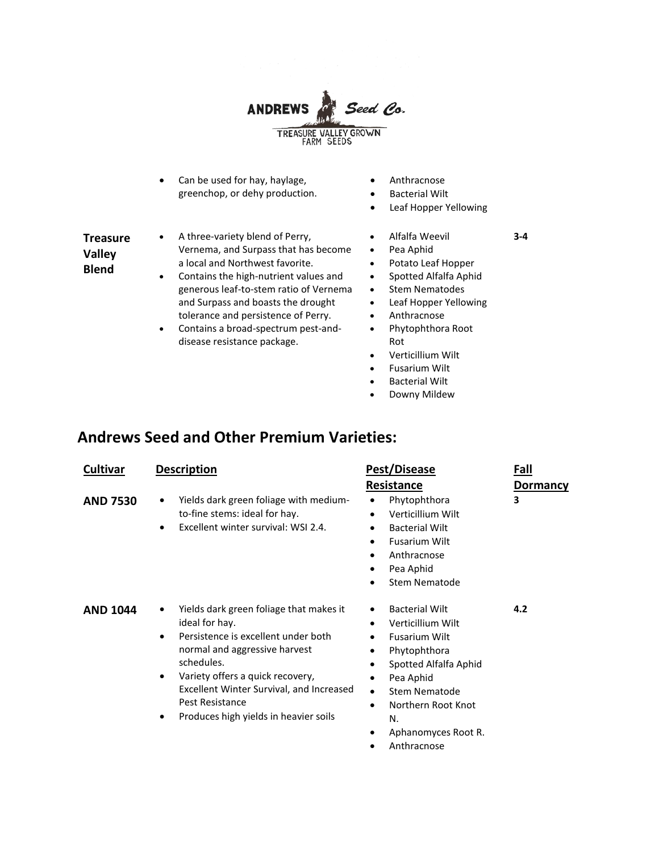

- Can be used for hay, haylage, greenchop, or dehy production.
- Anthracnose
- Bacterial Wilt
- Leaf Hopper Yellowing

**3-4**

- **Treasure Valley Blend**
- A three-variety blend of Perry, Vernema, and Surpass that has become a local and Northwest favorite.
- Contains the high-nutrient values and generous leaf-to-stem ratio of Vernema and Surpass and boasts the drought tolerance and persistence of Perry.
- Contains a broad-spectrum pest-anddisease resistance package.
- Alfalfa Weevil
- Pea Aphid
- Potato Leaf Hopper
- Spotted Alfalfa Aphid
- Stem Nematodes
- Leaf Hopper Yellowing
	- Anthracnose
- Phytophthora Root Rot
- Verticillium Wilt
- Fusarium Wilt
- **Bacterial Wilt**
- Downy Mildew

### **Andrews Seed and Other Premium Varieties:**

| <b>Cultivar</b> | <b>Description</b>                                                                                                                                                                                                                                                                                                      | Pest/Disease                                                                                                                                                                                                                                                             | Fall<br><b>Dormancy</b> |
|-----------------|-------------------------------------------------------------------------------------------------------------------------------------------------------------------------------------------------------------------------------------------------------------------------------------------------------------------------|--------------------------------------------------------------------------------------------------------------------------------------------------------------------------------------------------------------------------------------------------------------------------|-------------------------|
|                 |                                                                                                                                                                                                                                                                                                                         | Resistance                                                                                                                                                                                                                                                               |                         |
| <b>AND 7530</b> | Yields dark green foliage with medium-<br>٠<br>to-fine stems: ideal for hay.<br>Excellent winter survival: WSI 2.4.<br>$\bullet$                                                                                                                                                                                        | Phytophthora<br>$\bullet$<br>Verticillium Wilt<br>٠<br><b>Bacterial Wilt</b><br>٠<br><b>Fusarium Wilt</b><br>٠<br>Anthracnose<br>Pea Aphid<br><b>Stem Nematode</b>                                                                                                       | 3                       |
| <b>AND 1044</b> | Yields dark green foliage that makes it<br>٠<br>ideal for hay.<br>Persistence is excellent under both<br>٠<br>normal and aggressive harvest<br>schedules.<br>Variety offers a quick recovery,<br>$\bullet$<br>Excellent Winter Survival, and Increased<br>Pest Resistance<br>Produces high yields in heavier soils<br>٠ | <b>Bacterial Wilt</b><br>٠<br>Verticillium Wilt<br><b>Fusarium Wilt</b><br>Phytophthora<br>٠<br>Spotted Alfalfa Aphid<br>٠<br>Pea Aphid<br>$\bullet$<br><b>Stem Nematode</b><br>$\bullet$<br>Northern Root Knot<br>$\bullet$<br>N.<br>Aphanomyces Root R.<br>Anthracnose | 4.2                     |